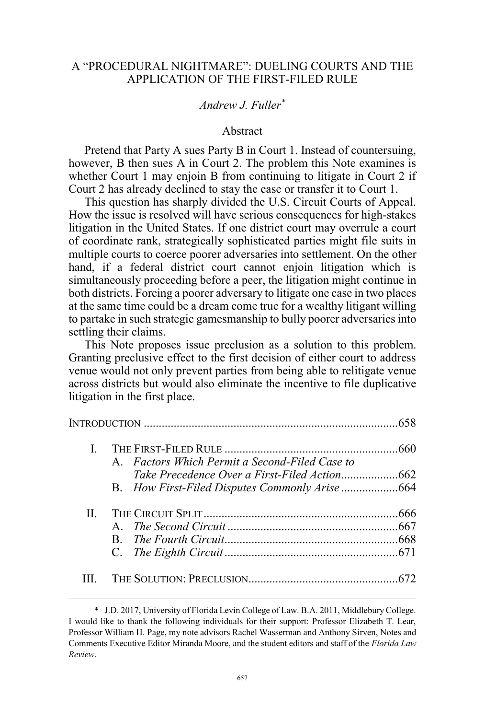## A "PROCEDURAL NIGHTMARE": DUELING COURTS AND THE APPLICATION OF THE FIRST-FILED RULE

# *Andrew J. Fuller\**

### Abstract

Pretend that Party A sues Party B in Court 1. Instead of countersuing, however, B then sues A in Court 2. The problem this Note examines is whether Court 1 may enjoin B from continuing to litigate in Court 2 if Court 2 has already declined to stay the case or transfer it to Court 1.

This question has sharply divided the U.S. Circuit Courts of Appeal. How the issue is resolved will have serious consequences for high-stakes litigation in the United States. If one district court may overrule a court of coordinate rank, strategically sophisticated parties might file suits in multiple courts to coerce poorer adversaries into settlement. On the other hand, if a federal district court cannot enjoin litigation which is simultaneously proceeding before a peer, the litigation might continue in both districts. Forcing a poorer adversary to litigate one case in two places at the same time could be a dream come true for a wealthy litigant willing to partake in such strategic gamesmanship to bully poorer adversaries into settling their claims.

This Note proposes issue preclusion as a solution to this problem. Granting preclusive effect to the first decision of either court to address venue would not only prevent parties from being able to relitigate venue across districts but would also eliminate the incentive to file duplicative litigation in the first place.

|         |                                                | 658 |
|---------|------------------------------------------------|-----|
| L       |                                                |     |
|         | A. Factors Which Permit a Second-Filed Case to |     |
|         |                                                |     |
| $\Pi^-$ |                                                |     |
|         |                                                |     |
|         |                                                |     |
|         |                                                |     |
|         |                                                |     |

 <sup>\*</sup> J.D. 2017, University of Florida Levin College of Law. B.A. 2011, Middlebury College. I would like to thank the following individuals for their support: Professor Elizabeth T. Lear, Professor William H. Page, my note advisors Rachel Wasserman and Anthony Sirven, Notes and Comments Executive Editor Miranda Moore, and the student editors and staff of the *Florida Law Review*.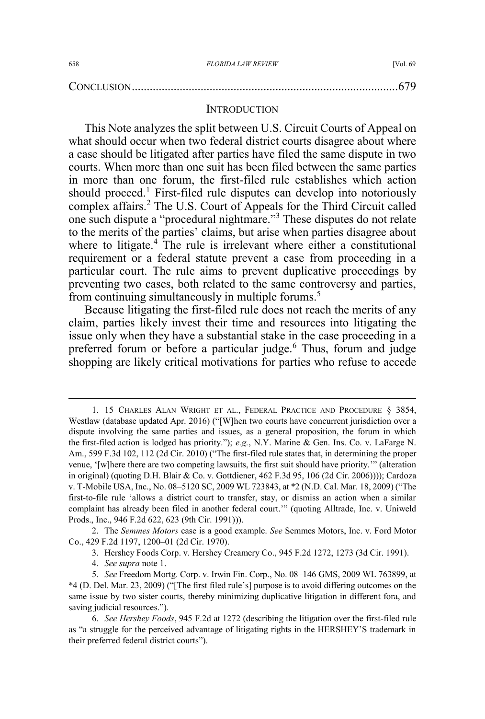|--|

#### **INTRODUCTION**

This Note analyzes the split between U.S. Circuit Courts of Appeal on what should occur when two federal district courts disagree about where a case should be litigated after parties have filed the same dispute in two courts. When more than one suit has been filed between the same parties in more than one forum, the first-filed rule establishes which action should proceed.<sup>1</sup> First-filed rule disputes can develop into notoriously complex affairs.<sup>2</sup> The U.S. Court of Appeals for the Third Circuit called one such dispute a "procedural nightmare."<sup>3</sup> These disputes do not relate to the merits of the parties' claims, but arise when parties disagree about where to litigate.<sup>4</sup> The rule is irrelevant where either a constitutional requirement or a federal statute prevent a case from proceeding in a particular court. The rule aims to prevent duplicative proceedings by preventing two cases, both related to the same controversy and parties, from continuing simultaneously in multiple forums.<sup>5</sup>

Because litigating the first-filed rule does not reach the merits of any claim, parties likely invest their time and resources into litigating the issue only when they have a substantial stake in the case proceeding in a preferred forum or before a particular judge.<sup>6</sup> Thus, forum and judge shopping are likely critical motivations for parties who refuse to accede

 <sup>1. 15</sup> CHARLES ALAN WRIGHT ET AL., FEDERAL PRACTICE AND PROCEDURE § 3854, Westlaw (database updated Apr. 2016) ("[W]hen two courts have concurrent jurisdiction over a dispute involving the same parties and issues, as a general proposition, the forum in which the first-filed action is lodged has priority."); *e.g.*, N.Y. Marine & Gen. Ins. Co. v. LaFarge N. Am., 599 F.3d 102, 112 (2d Cir. 2010) ("The first-filed rule states that, in determining the proper venue, '[w]here there are two competing lawsuits, the first suit should have priority.'" (alteration in original) (quoting D.H. Blair & Co. v. Gottdiener, 462 F.3d 95, 106 (2d Cir. 2006)))); Cardoza v. T-Mobile USA, Inc., No. 08–5120 SC, 2009 WL 723843, at \*2 (N.D. Cal. Mar. 18, 2009) ("The first-to-file rule 'allows a district court to transfer, stay, or dismiss an action when a similar complaint has already been filed in another federal court.'" (quoting Alltrade, Inc. v. Uniweld Prods., Inc., 946 F.2d 622, 623 (9th Cir. 1991))).

<sup>2.</sup> The *Semmes Motors* case is a good example. *See* Semmes Motors, Inc. v. Ford Motor Co., 429 F.2d 1197, 1200–01 (2d Cir. 1970).

<sup>3.</sup> Hershey Foods Corp. v. Hershey Creamery Co., 945 F.2d 1272, 1273 (3d Cir. 1991).

<sup>4.</sup> *See supra* note 1.

<sup>5.</sup> *See* Freedom Mortg. Corp. v. Irwin Fin. Corp., No. 08–146 GMS, 2009 WL 763899, at \*4 (D. Del. Mar. 23, 2009) ("[The first filed rule's] purpose is to avoid differing outcomes on the same issue by two sister courts, thereby minimizing duplicative litigation in different fora, and saving judicial resources.").

<sup>6.</sup> *See Hershey Foods*, 945 F.2d at 1272 (describing the litigation over the first-filed rule as "a struggle for the perceived advantage of litigating rights in the HERSHEY'S trademark in their preferred federal district courts").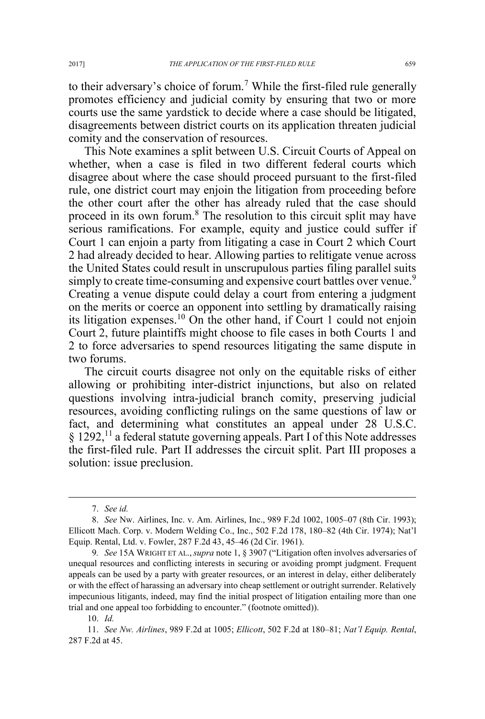to their adversary's choice of forum.<sup>7</sup> While the first-filed rule generally promotes efficiency and judicial comity by ensuring that two or more courts use the same yardstick to decide where a case should be litigated, disagreements between district courts on its application threaten judicial comity and the conservation of resources.

This Note examines a split between U.S. Circuit Courts of Appeal on whether, when a case is filed in two different federal courts which disagree about where the case should proceed pursuant to the first-filed rule, one district court may enjoin the litigation from proceeding before the other court after the other has already ruled that the case should proceed in its own forum.<sup>8</sup> The resolution to this circuit split may have serious ramifications. For example, equity and justice could suffer if Court 1 can enjoin a party from litigating a case in Court 2 which Court 2 had already decided to hear. Allowing parties to relitigate venue across the United States could result in unscrupulous parties filing parallel suits simply to create time-consuming and expensive court battles over venue.<sup>9</sup> Creating a venue dispute could delay a court from entering a judgment on the merits or coerce an opponent into settling by dramatically raising its litigation expenses.<sup>10</sup> On the other hand, if Court 1 could not enjoin Court 2, future plaintiffs might choose to file cases in both Courts 1 and 2 to force adversaries to spend resources litigating the same dispute in two forums.

The circuit courts disagree not only on the equitable risks of either allowing or prohibiting inter-district injunctions, but also on related questions involving intra-judicial branch comity, preserving judicial resources, avoiding conflicting rulings on the same questions of law or fact, and determining what constitutes an appeal under 28 U.S.C. § 1292,<sup>11</sup> a federal statute governing appeals. Part I of this Note addresses the first-filed rule. Part II addresses the circuit split. Part III proposes a solution: issue preclusion.

 <sup>7.</sup> *See id.*

<sup>8.</sup> *See* Nw. Airlines, Inc. v. Am. Airlines, Inc., 989 F.2d 1002, 1005–07 (8th Cir. 1993); Ellicott Mach. Corp. v. Modern Welding Co., Inc., 502 F.2d 178, 180–82 (4th Cir. 1974); Nat'l Equip. Rental, Ltd. v. Fowler, 287 F.2d 43, 45–46 (2d Cir. 1961).

<sup>9</sup>*. See* 15A WRIGHT ET AL.,*supra* note 1, § 3907 ("Litigation often involves adversaries of unequal resources and conflicting interests in securing or avoiding prompt judgment. Frequent appeals can be used by a party with greater resources, or an interest in delay, either deliberately or with the effect of harassing an adversary into cheap settlement or outright surrender. Relatively impecunious litigants, indeed, may find the initial prospect of litigation entailing more than one trial and one appeal too forbidding to encounter." (footnote omitted)).

<sup>10.</sup> *Id.*

<sup>11.</sup> *See Nw. Airlines*, 989 F.2d at 1005; *Ellicott*, 502 F.2d at 180–81; *Nat'l Equip. Rental*, 287 F.2d at 45.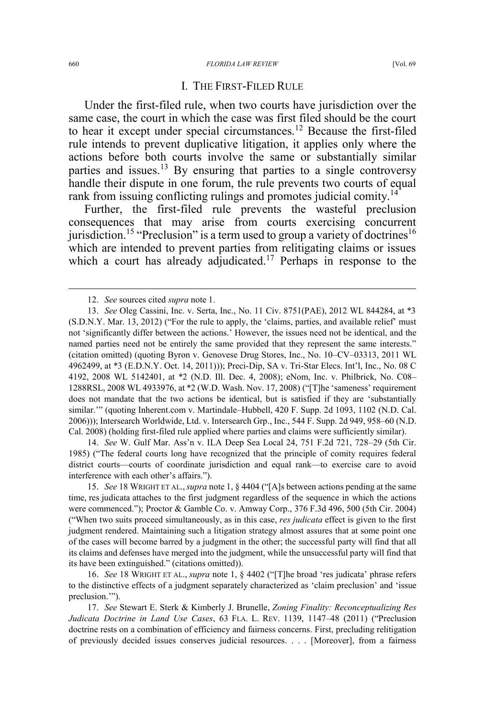#### 660 FLORIDA LAW REVIEW [Vol. 69

#### I. THE FIRST-FILED RULE

Under the first-filed rule, when two courts have jurisdiction over the same case, the court in which the case was first filed should be the court to hear it except under special circumstances.<sup>12</sup> Because the first-filed rule intends to prevent duplicative litigation, it applies only where the actions before both courts involve the same or substantially similar parties and issues.<sup>13</sup> By ensuring that parties to a single controversy handle their dispute in one forum, the rule prevents two courts of equal rank from issuing conflicting rulings and promotes judicial comity.<sup>14</sup>

Further, the first-filed rule prevents the wasteful preclusion consequences that may arise from courts exercising concurrent jurisdiction.<sup>15</sup> "Preclusion" is a term used to group a variety of doctrines<sup>16</sup> which are intended to prevent parties from relitigating claims or issues which a court has already adjudicated.<sup>17</sup> Perhaps in response to the

14. *See* W. Gulf Mar. Ass'n v. ILA Deep Sea Local 24, 751 F.2d 721, 728–29 (5th Cir. 1985) ("The federal courts long have recognized that the principle of comity requires federal district courts—courts of coordinate jurisdiction and equal rank—to exercise care to avoid interference with each other's affairs.").

15. *See* 18 WRIGHT ET AL.,*supra* note 1, § 4404 ("[A]s between actions pending at the same time, res judicata attaches to the first judgment regardless of the sequence in which the actions were commenced."); Proctor & Gamble Co. v. Amway Corp., 376 F.3d 496, 500 (5th Cir. 2004) ("When two suits proceed simultaneously, as in this case, *res judicata* effect is given to the first judgment rendered. Maintaining such a litigation strategy almost assures that at some point one of the cases will become barred by a judgment in the other; the successful party will find that all its claims and defenses have merged into the judgment, while the unsuccessful party will find that its have been extinguished." (citations omitted)).

16. *See* 18 WRIGHT ET AL., *supra* note 1, § 4402 ("[T]he broad 'res judicata' phrase refers to the distinctive effects of a judgment separately characterized as 'claim preclusion' and 'issue preclusion.'").

17. *See* Stewart E. Sterk & Kimberly J. Brunelle, *Zoning Finality: Reconceptualizing Res Judicata Doctrine in Land Use Cases*, 63 FLA. L. REV. 1139, 1147–48 (2011) ("Preclusion doctrine rests on a combination of efficiency and fairness concerns. First, precluding relitigation of previously decided issues conserves judicial resources. . . . [Moreover], from a fairness

 <sup>12.</sup> *See* sources cited *supra* note 1.

<sup>13.</sup> *See* Oleg Cassini, Inc. v. Serta, Inc., No. 11 Civ. 8751(PAE), 2012 WL 844284, at \*3 (S.D.N.Y. Mar. 13, 2012) ("For the rule to apply, the 'claims, parties, and available relief' must not 'significantly differ between the actions.' However, the issues need not be identical, and the named parties need not be entirely the same provided that they represent the same interests." (citation omitted) (quoting Byron v. Genovese Drug Stores, Inc., No. 10–CV–03313, 2011 WL 4962499, at \*3 (E.D.N.Y. Oct. 14, 2011))); Preci-Dip, SA v. Tri-Star Elecs. Int'l, Inc., No. 08 C 4192, 2008 WL 5142401, at \*2 (N.D. Ill. Dec. 4, 2008); eNom, Inc. v. Philbrick, No. C08– 1288RSL, 2008 WL 4933976, at \*2 (W.D. Wash. Nov. 17, 2008) ("[T]he 'sameness' requirement does not mandate that the two actions be identical, but is satisfied if they are 'substantially similar.'" (quoting Inherent.com v. Martindale–Hubbell, 420 F. Supp. 2d 1093, 1102 (N.D. Cal. 2006))); Intersearch Worldwide, Ltd. v. Intersearch Grp., Inc., 544 F. Supp. 2d 949, 958–60 (N.D. Cal. 2008) (holding first-filed rule applied where parties and claims were sufficiently similar).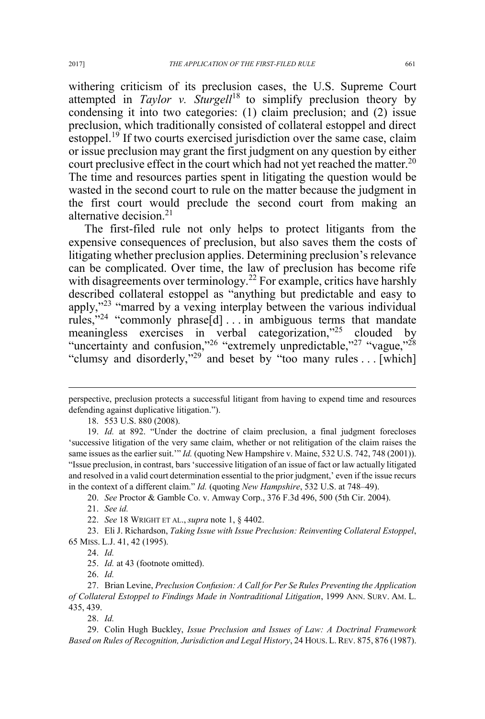withering criticism of its preclusion cases, the U.S. Supreme Court attempted in *Taylor v. Sturgell*<sup>18</sup> to simplify preclusion theory by condensing it into two categories: (1) claim preclusion; and (2) issue preclusion, which traditionally consisted of collateral estoppel and direct estoppel.<sup>19</sup> If two courts exercised jurisdiction over the same case, claim or issue preclusion may grant the first judgment on any question by either court preclusive effect in the court which had not yet reached the matter.<sup>20</sup> The time and resources parties spent in litigating the question would be wasted in the second court to rule on the matter because the judgment in the first court would preclude the second court from making an alternative decision.<sup>21</sup>

The first-filed rule not only helps to protect litigants from the expensive consequences of preclusion, but also saves them the costs of litigating whether preclusion applies. Determining preclusion's relevance can be complicated. Over time, the law of preclusion has become rife with disagreements over terminology.<sup>22</sup> For example, critics have harshly described collateral estoppel as "anything but predictable and easy to apply,"<sup>23</sup> "marred by a vexing interplay between the various individual rules,"<sup>24</sup> "commonly phrase[d] . . . in ambiguous terms that mandate meaningless exercises in verbal categorization,"<sup>25</sup> clouded by "uncertainty and confusion,"<sup>26</sup> "extremely unpredictable,"<sup>27</sup> "vague,"<sup>28</sup> "clumsy and disorderly,"<sup>29</sup> and beset by "too many rules . . . [which]

20. *See* Proctor & Gamble Co. v. Amway Corp., 376 F.3d 496, 500 (5th Cir. 2004).

 $\overline{a}$ 

23. Eli J. Richardson, *Taking Issue with Issue Preclusion: Reinventing Collateral Estoppel*, 65 MISS. L.J. 41, 42 (1995).

28. *Id.*

29. Colin Hugh Buckley, *Issue Preclusion and Issues of Law: A Doctrinal Framework Based on Rules of Recognition, Jurisdiction and Legal History*, 24 HOUS. L. REV. 875, 876 (1987).

perspective, preclusion protects a successful litigant from having to expend time and resources defending against duplicative litigation.").

<sup>18. 553</sup> U.S. 880 (2008).

<sup>19.</sup> *Id.* at 892. "Under the doctrine of claim preclusion, a final judgment forecloses 'successive litigation of the very same claim, whether or not relitigation of the claim raises the same issues as the earlier suit." *Id.* (quoting New Hampshire v. Maine, 532 U.S. 742, 748 (2001)). "Issue preclusion, in contrast, bars 'successive litigation of an issue of fact or law actually litigated and resolved in a valid court determination essential to the prior judgment,' even if the issue recurs in the context of a different claim." *Id.* (quoting *New Hampshire*, 532 U.S. at 748–49).

<sup>21.</sup> *See id.*

<sup>22.</sup> *See* 18 WRIGHT ET AL., *supra* note 1, § 4402.

<sup>24.</sup> *Id.*

<sup>25.</sup> *Id.* at 43 (footnote omitted).

<sup>26.</sup> *Id.*

<sup>27.</sup> Brian Levine, Preclusion Confusion: A Call for Per Se Rules Preventing the Application of Collateral Estoppel to Findings Made in Nontraditional Litigation, 1999 ANN. SURV. AM. L. 435, 439.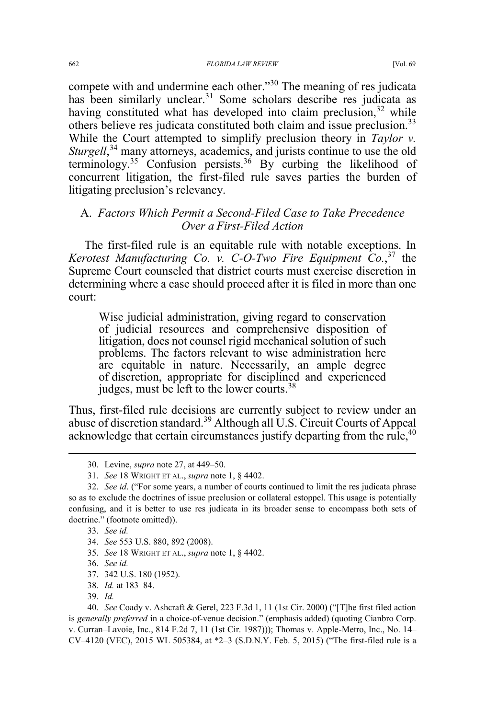compete with and undermine each other."<sup>30</sup> The meaning of res judicata has been similarly unclear.<sup>31</sup> Some scholars describe res judicata as having constituted what has developed into claim preclusion,  $32$  while others believe res judicata constituted both claim and issue preclusion.<sup>33</sup> While the Court attempted to simplify preclusion theory in *Taylor v.* Sturgell,<sup>34</sup> many attorneys, academics, and jurists continue to use the old terminology.<sup>35</sup> Confusion persists.<sup>36</sup> By curbing the likelihood of concurrent litigation, the first-filed rule saves parties the burden of litigating preclusion's relevancy.

# A. *Factors Which Permit a Second-Filed Case to Take Precedence Over a First-Filed Action*

The first-filed rule is an equitable rule with notable exceptions. In *Kerotest Manufacturing Co. v. C-O-Two Fire Equipment Co.*, <sup>37</sup> the Supreme Court counseled that district courts must exercise discretion in determining where a case should proceed after it is filed in more than one court:

Wise judicial administration, giving regard to conservation of judicial resources and comprehensive disposition of litigation, does not counsel rigid mechanical solution of such problems. The factors relevant to wise administration here are equitable in nature. Necessarily, an ample degree of discretion, appropriate for disciplined and experienced judges, must be left to the lower courts.<sup>38</sup>

Thus, first-filed rule decisions are currently subject to review under an abuse of discretion standard.<sup>39</sup> Although all U.S. Circuit Courts of Appeal acknowledge that certain circumstances justify departing from the rule,<sup>40</sup>

- 34. *See* 553 U.S. 880, 892 (2008).
- 35. *See* 18 WRIGHT ET AL., *supra* note 1, § 4402.
- 36. *See id.*
- 37. 342 U.S. 180 (1952).
- 38. *Id.* at 183–84.
- 39. *Id.*

 <sup>30.</sup> Levine, *supra* note 27, at 449–50.

<sup>31.</sup> *See* 18 WRIGHT ET AL., *supra* note 1, § 4402.

<sup>32.</sup> *See id*. ("For some years, a number of courts continued to limit the res judicata phrase so as to exclude the doctrines of issue preclusion or collateral estoppel. This usage is potentially confusing, and it is better to use res judicata in its broader sense to encompass both sets of doctrine." (footnote omitted)).

<sup>33.</sup> *See* id.

<sup>40.</sup> *See* Coady v. Ashcraft & Gerel, 223 F.3d 1, 11 (1st Cir. 2000) ("[T]he first filed action is *generally preferred* in a choice-of-venue decision." (emphasis added) (quoting Cianbro Corp. v. Curran–Lavoie, Inc., 814 F.2d 7, 11 (1st Cir. 1987))); Thomas v. Apple-Metro, Inc., No. 14– CV–4120 (VEC), 2015 WL 505384, at \*2–3 (S.D.N.Y. Feb. 5, 2015) ("The first-filed rule is a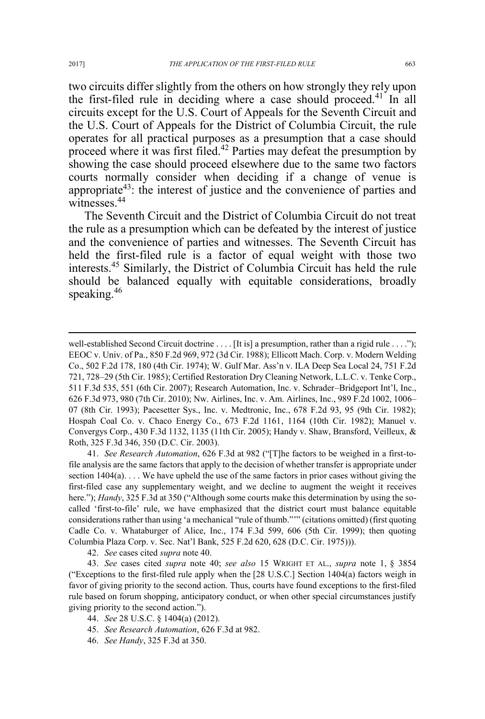two circuits differ slightly from the others on how strongly they rely upon the first-filed rule in deciding where a case should proceed.<sup>41</sup> In all circuits except for the U.S. Court of Appeals for the Seventh Circuit and the U.S. Court of Appeals for the District of Columbia Circuit, the rule operates for all practical purposes as a presumption that a case should proceed where it was first filed.<sup>42</sup> Parties may defeat the presumption by showing the case should proceed elsewhere due to the same two factors courts normally consider when deciding if a change of venue is appropriate43: the interest of justice and the convenience of parties and witnesses<sup>44</sup>

The Seventh Circuit and the District of Columbia Circuit do not treat the rule as a presumption which can be defeated by the interest of justice and the convenience of parties and witnesses. The Seventh Circuit has held the first-filed rule is a factor of equal weight with those two interests.45 Similarly, the District of Columbia Circuit has held the rule should be balanced equally with equitable considerations, broadly speaking.<sup>46</sup>

41. *See Research Automation*, 626 F.3d at 982 ("[T]he factors to be weighed in a first-tofile analysis are the same factors that apply to the decision of whether transfer is appropriate under section  $1404(a)$ ... We have upheld the use of the same factors in prior cases without giving the first-filed case any supplementary weight, and we decline to augment the weight it receives here."); *Handy*, 325 F.3d at 350 ("Although some courts make this determination by using the socalled 'first-to-file' rule, we have emphasized that the district court must balance equitable considerations rather than using 'a mechanical "rule of thumb."'" (citations omitted) (first quoting Cadle Co. v. Whataburger of Alice, Inc., 174 F.3d 599, 606 (5th Cir. 1999); then quoting Columbia Plaza Corp. v. Sec. Nat'l Bank, 525 F.2d 620, 628 (D.C. Cir. 1975))).

42. *See* cases cited *supra* note 40.

- 44. *See* 28 U.S.C. § 1404(a) (2012).
- 45. *See Research Automation*, 626 F.3d at 982.
- 46. *See Handy*, 325 F.3d at 350.

 $\overline{a}$ 

well-established Second Circuit doctrine . . . . [It is] a presumption, rather than a rigid rule . . . ."); EEOC v. Univ. of Pa., 850 F.2d 969, 972 (3d Cir. 1988); Ellicott Mach. Corp. v. Modern Welding Co., 502 F.2d 178, 180 (4th Cir. 1974); W. Gulf Mar. Ass'n v. ILA Deep Sea Local 24, 751 F.2d 721, 728–29 (5th Cir. 1985); Certified Restoration Dry Cleaning Network, L.L.C. v. Tenke Corp., 511 F.3d 535, 551 (6th Cir. 2007); Research Automation, Inc. v. Schrader–Bridgeport Int'l, Inc., 626 F.3d 973, 980 (7th Cir. 2010); Nw. Airlines, Inc. v. Am. Airlines, Inc., 989 F.2d 1002, 1006– 07 (8th Cir. 1993); Pacesetter Sys., Inc. v. Medtronic, Inc., 678 F.2d 93, 95 (9th Cir. 1982); Hospah Coal Co. v. Chaco Energy Co., 673 F.2d 1161, 1164 (10th Cir. 1982); Manuel v. Convergys Corp., 430 F.3d 1132, 1135 (11th Cir. 2005); Handy v. Shaw, Bransford, Veilleux, & Roth, 325 F.3d 346, 350 (D.C. Cir. 2003).

<sup>43.</sup> *See* cases cited *supra* note 40; *see also* 15 WRIGHT ET AL., *supra* note 1, § 3854 ("Exceptions to the first-filed rule apply when the [28 U.S.C.] Section 1404(a) factors weigh in favor of giving priority to the second action. Thus, courts have found exceptions to the first-filed rule based on forum shopping, anticipatory conduct, or when other special circumstances justify giving priority to the second action.").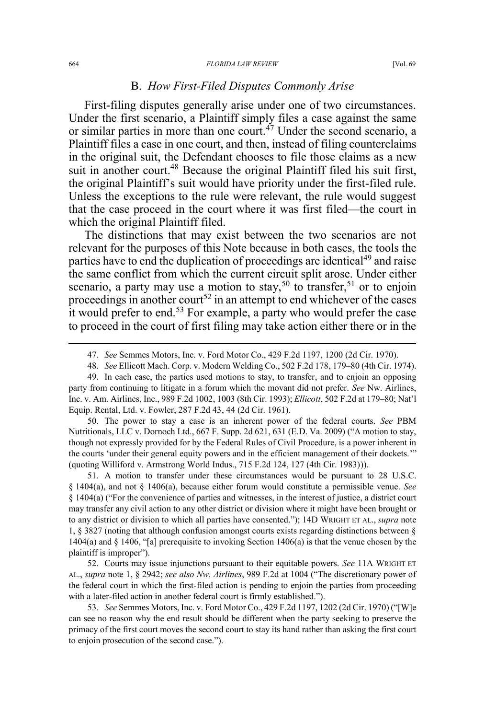#### 664 FLORIDA LAW REVIEW [Vol. 69

### B. *How First-Filed Disputes Commonly Arise*

First-filing disputes generally arise under one of two circumstances. Under the first scenario, a Plaintiff simply files a case against the same or similar parties in more than one court.<sup> $47$ </sup> Under the second scenario, a Plaintiff files a case in one court, and then, instead of filing counterclaims in the original suit, the Defendant chooses to file those claims as a new suit in another court.<sup>48</sup> Because the original Plaintiff filed his suit first, the original Plaintiff's suit would have priority under the first-filed rule. Unless the exceptions to the rule were relevant, the rule would suggest that the case proceed in the court where it was first filed—the court in which the original Plaintiff filed.

The distinctions that may exist between the two scenarios are not relevant for the purposes of this Note because in both cases, the tools the parties have to end the duplication of proceedings are identical<sup>49</sup> and raise the same conflict from which the current circuit split arose. Under either scenario, a party may use a motion to stay,<sup>50</sup> to transfer,<sup>51</sup> or to enjoin proceedings in another court<sup>52</sup> in an attempt to end whichever of the cases it would prefer to end.<sup>53</sup> For example, a party who would prefer the case to proceed in the court of first filing may take action either there or in the

50. The power to stay a case is an inherent power of the federal courts. *See* PBM Nutritionals, LLC v. Dornoch Ltd., 667 F. Supp. 2d 621, 631 (E.D. Va. 2009) ("A motion to stay, though not expressly provided for by the Federal Rules of Civil Procedure, is a power inherent in the courts 'under their general equity powers and in the efficient management of their dockets.'" (quoting Williford v. Armstrong World Indus., 715 F.2d 124, 127 (4th Cir. 1983))).

51. A motion to transfer under these circumstances would be pursuant to 28 U.S.C. § 1404(a), and not § 1406(a), because either forum would constitute a permissible venue. *See* § 1404(a) ("For the convenience of parties and witnesses, in the interest of justice, a district court may transfer any civil action to any other district or division where it might have been brought or to any district or division to which all parties have consented."); 14D WRIGHT ET AL., *supra* note 1, § 3827 (noting that although confusion amongst courts exists regarding distinctions between § 1404(a) and § 1406, "[a] prerequisite to invoking Section 1406(a) is that the venue chosen by the plaintiff is improper").

52. Courts may issue injunctions pursuant to their equitable powers. *See* 11A WRIGHT ET AL., *supra* note 1, § 2942; *see also Nw. Airlines*, 989 F.2d at 1004 ("The discretionary power of the federal court in which the first-filed action is pending to enjoin the parties from proceeding with a later-filed action in another federal court is firmly established.").

53. *See* Semmes Motors, Inc. v. Ford Motor Co., 429 F.2d 1197, 1202 (2d Cir. 1970) ("[W]e can see no reason why the end result should be different when the party seeking to preserve the primacy of the first court moves the second court to stay its hand rather than asking the first court to enjoin prosecution of the second case.").

 <sup>47.</sup> *See* Semmes Motors, Inc. v. Ford Motor Co., 429 F.2d 1197, 1200 (2d Cir. 1970).

<sup>48.</sup> *See* Ellicott Mach. Corp. v. Modern Welding Co., 502 F.2d 178, 179–80 (4th Cir. 1974).

<sup>49.</sup> In each case, the parties used motions to stay, to transfer, and to enjoin an opposing party from continuing to litigate in a forum which the movant did not prefer. *See* Nw. Airlines, Inc. v. Am. Airlines, Inc., 989 F.2d 1002, 1003 (8th Cir. 1993); *Ellicott*, 502 F.2d at 179–80; Nat'l Equip. Rental, Ltd. v. Fowler, 287 F.2d 43, 44 (2d Cir. 1961).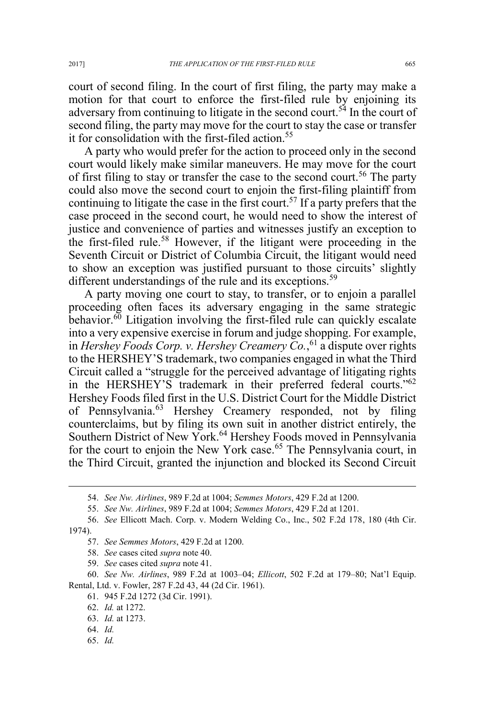court of second filing. In the court of first filing, the party may make a motion for that court to enforce the first-filed rule by enjoining its adversary from continuing to litigate in the second court.<sup>54</sup> In the court of second filing, the party may move for the court to stay the case or transfer it for consolidation with the first-filed action.<sup>55</sup>

A party who would prefer for the action to proceed only in the second court would likely make similar maneuvers. He may move for the court of first filing to stay or transfer the case to the second court.<sup>56</sup> The party could also move the second court to enjoin the first-filing plaintiff from continuing to litigate the case in the first court.<sup>57</sup> If a party prefers that the case proceed in the second court, he would need to show the interest of justice and convenience of parties and witnesses justify an exception to the first-filed rule.<sup>58</sup> However, if the litigant were proceeding in the Seventh Circuit or District of Columbia Circuit, the litigant would need to show an exception was justified pursuant to those circuits' slightly different understandings of the rule and its exceptions.<sup>59</sup>

A party moving one court to stay, to transfer, or to enjoin a parallel proceeding often faces its adversary engaging in the same strategic behavior. $\delta^0$  Litigation involving the first-filed rule can quickly escalate into a very expensive exercise in forum and judge shopping. For example, in *Hershey Foods Corp. v. Hershey Creamery Co.*, <sup>61</sup> a dispute over rights to the HERSHEY'S trademark, two companies engaged in what the Third Circuit called a "struggle for the perceived advantage of litigating rights in the HERSHEY'S trademark in their preferred federal courts."62 Hershey Foods filed first in the U.S. District Court for the Middle District of Pennsylvania.<sup>63</sup> Hershey Creamery responded, not by filing counterclaims, but by filing its own suit in another district entirely, the Southern District of New York.<sup>64</sup> Hershey Foods moved in Pennsylvania for the court to enjoin the New York case.<sup>65</sup> The Pennsylvania court, in the Third Circuit, granted the injunction and blocked its Second Circuit

65. *Id.*

 <sup>54.</sup> *See Nw. Airlines*, 989 F.2d at 1004; *Semmes Motors*, 429 F.2d at 1200.

<sup>55.</sup> *See Nw. Airlines*, 989 F.2d at 1004; *Semmes Motors*, 429 F.2d at 1201.

<sup>56.</sup> *See* Ellicott Mach. Corp. v. Modern Welding Co., Inc., 502 F.2d 178, 180 (4th Cir. 1974).

<sup>57.</sup> *See Semmes Motors*, 429 F.2d at 1200.

<sup>58.</sup> *See* cases cited *supra* note 40.

<sup>59.</sup> *See* cases cited *supra* note 41.

<sup>60.</sup> *See Nw. Airlines*, 989 F.2d at 1003–04; *Ellicott*, 502 F.2d at 179–80; Nat'l Equip. Rental, Ltd. v. Fowler, 287 F.2d 43, 44 (2d Cir. 1961).

<sup>61. 945</sup> F.2d 1272 (3d Cir. 1991).

<sup>62.</sup> *Id.* at 1272.

<sup>63.</sup> *Id.* at 1273.

<sup>64.</sup> *Id.*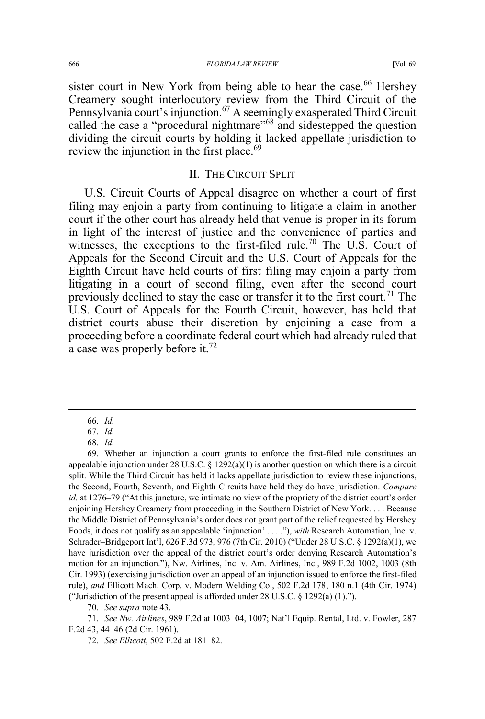sister court in New York from being able to hear the case.<sup>66</sup> Hershey Creamery sought interlocutory review from the Third Circuit of the Pennsylvania court's injunction.<sup>67</sup> A seemingly exasperated Third Circuit called the case a "procedural nightmare"<sup>68</sup> and sidestepped the question dividing the circuit courts by holding it lacked appellate jurisdiction to review the injunction in the first place.<sup>69</sup>

### II. THE CIRCUIT SPLIT

U.S. Circuit Courts of Appeal disagree on whether a court of first filing may enjoin a party from continuing to litigate a claim in another court if the other court has already held that venue is proper in its forum in light of the interest of justice and the convenience of parties and witnesses, the exceptions to the first-filed rule.<sup>70</sup> The U.S. Court of Appeals for the Second Circuit and the U.S. Court of Appeals for the Eighth Circuit have held courts of first filing may enjoin a party from litigating in a court of second filing, even after the second court previously declined to stay the case or transfer it to the first court.<sup>71</sup> The U.S. Court of Appeals for the Fourth Circuit, however, has held that district courts abuse their discretion by enjoining a case from a proceeding before a coordinate federal court which had already ruled that a case was properly before it.<sup>72</sup>

70. *See supra* note 43.

 <sup>66.</sup> *Id.*

<sup>67.</sup> *Id.*

<sup>68.</sup> *Id.*

<sup>69.</sup> Whether an injunction a court grants to enforce the first-filed rule constitutes an appealable injunction under 28 U.S.C.  $\S$  1292(a)(1) is another question on which there is a circuit split. While the Third Circuit has held it lacks appellate jurisdiction to review these injunctions, the Second, Fourth, Seventh, and Eighth Circuits have held they do have jurisdiction. *Compare id.* at 1276–79 ("At this juncture, we intimate no view of the propriety of the district court's order enjoining Hershey Creamery from proceeding in the Southern District of New York. . . . Because the Middle District of Pennsylvania's order does not grant part of the relief requested by Hershey Foods, it does not qualify as an appealable 'injunction' . . . ."), *with* Research Automation, Inc. v. Schrader–Bridgeport Int'l, 626 F.3d 973, 976 (7th Cir. 2010) ("Under 28 U.S.C. § 1292(a)(1), we have jurisdiction over the appeal of the district court's order denying Research Automation's motion for an injunction."), Nw. Airlines, Inc. v. Am. Airlines, Inc., 989 F.2d 1002, 1003 (8th Cir. 1993) (exercising jurisdiction over an appeal of an injunction issued to enforce the first-filed rule), *and* Ellicott Mach. Corp. v. Modern Welding Co., 502 F.2d 178, 180 n.1 (4th Cir. 1974) ("Jurisdiction of the present appeal is afforded under 28 U.S.C.  $\S$  1292(a) (1).").

<sup>71.</sup> *See Nw. Airlines*, 989 F.2d at 1003–04, 1007; Nat'l Equip. Rental, Ltd. v. Fowler, 287 F.2d 43, 44–46 (2d Cir. 1961).

<sup>72.</sup> *See Ellicott*, 502 F.2d at 181–82.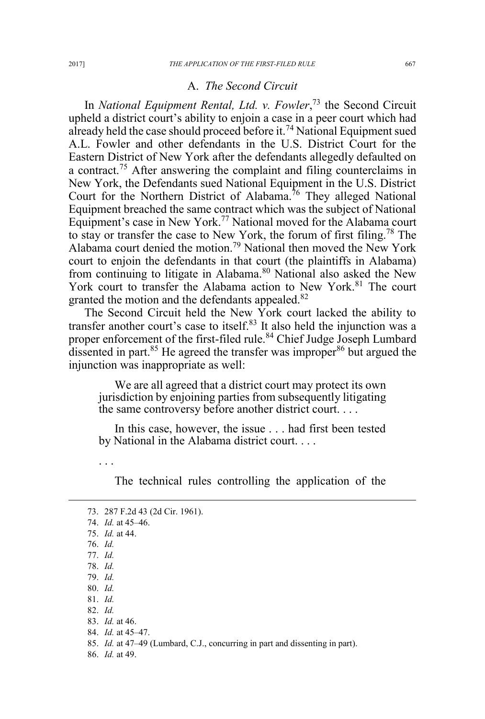#### A. *The Second Circuit*

In *National Equipment Rental, Ltd. v. Fowler*, <sup>73</sup> the Second Circuit upheld a district court's ability to enjoin a case in a peer court which had already held the case should proceed before it.<sup>74</sup> National Equipment sued A.L. Fowler and other defendants in the U.S. District Court for the Eastern District of New York after the defendants allegedly defaulted on a contract.<sup>75</sup> After answering the complaint and filing counterclaims in New York, the Defendants sued National Equipment in the U.S. District Court for the Northern District of Alabama.<sup>76</sup> They alleged National Equipment breached the same contract which was the subject of National Equipment's case in New York.77 National moved for the Alabama court to stay or transfer the case to New York, the forum of first filing.<sup>78</sup> The Alabama court denied the motion.<sup>79</sup> National then moved the New York court to enjoin the defendants in that court (the plaintiffs in Alabama) from continuing to litigate in Alabama.<sup>80</sup> National also asked the New York court to transfer the Alabama action to New York.<sup>81</sup> The court granted the motion and the defendants appealed.<sup>82</sup>

The Second Circuit held the New York court lacked the ability to transfer another court's case to itself.<sup>83</sup> It also held the injunction was a proper enforcement of the first-filed rule.<sup>84</sup> Chief Judge Joseph Lumbard dissented in part. $85$  He agreed the transfer was improper  $86$  but argued the injunction was inappropriate as well:

We are all agreed that a district court may protect its own jurisdiction by enjoining parties from subsequently litigating the same controversy before another district court. . . .

In this case, however, the issue . . . had first been tested by National in the Alabama district court. . . .

The technical rules controlling the application of the

...

 <sup>73. 287</sup> F.2d 43 (2d Cir. 1961). 74. *Id.* at 45–46. 75. *Id.* at 44. 76. *Id.* 77. *Id.* 78. *Id.* 79. *Id.* 80. *Id.* 81. *Id.* 82. *Id.* 83. *Id.* at 46. 84. *Id.* at 45–47. 85. *Id.* at 47–49 (Lumbard, C.J., concurring in part and dissenting in part).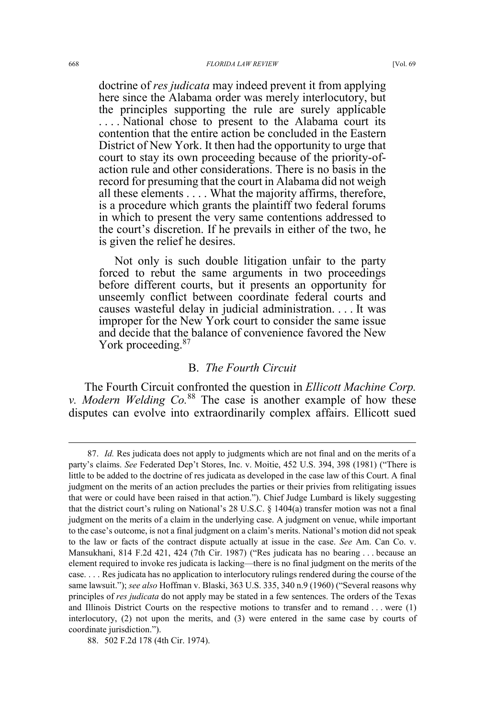doctrine of *res judicata* may indeed prevent it from applying here since the Alabama order was merely interlocutory, but the principles supporting the rule are surely applicable . . . . National chose to present to the Alabama court its contention that the entire action be concluded in the Eastern District of New York. It then had the opportunity to urge that court to stay its own proceeding because of the priority-ofaction rule and other considerations. There is no basis in the record for presuming that the court in Alabama did not weigh all these elements . . . . What the majority affirms, therefore,

is a procedure which grants the plaintiff two federal forums in which to present the very same contentions addressed to the court's discretion. If he prevails in either of the two, he is given the relief he desires.

Not only is such double litigation unfair to the party forced to rebut the same arguments in two proceedings before different courts, but it presents an opportunity for unseemly conflict between coordinate federal courts and causes wasteful delay in judicial administration. . . . It was improper for the New York court to consider the same issue and decide that the balance of convenience favored the New York proceeding.<sup>87</sup>

## B. *The Fourth Circuit*

The Fourth Circuit confronted the question in *Ellicott Machine Corp. v. Modern Welding Co.*<sup>88</sup> The case is another example of how these disputes can evolve into extraordinarily complex affairs. Ellicott sued

 <sup>87.</sup> *Id.* Res judicata does not apply to judgments which are not final and on the merits of a party's claims. *See* Federated Dep't Stores, Inc. v. Moitie, 452 U.S. 394, 398 (1981) ("There is little to be added to the doctrine of res judicata as developed in the case law of this Court. A final judgment on the merits of an action precludes the parties or their privies from relitigating issues that were or could have been raised in that action."). Chief Judge Lumbard is likely suggesting that the district court's ruling on National's 28 U.S.C. § 1404(a) transfer motion was not a final judgment on the merits of a claim in the underlying case. A judgment on venue, while important to the case's outcome, is not a final judgment on a claim's merits. National's motion did not speak to the law or facts of the contract dispute actually at issue in the case. *See* Am. Can Co. v. Mansukhani, 814 F.2d 421, 424 (7th Cir. 1987) ("Res judicata has no bearing . . . because an element required to invoke res judicata is lacking—there is no final judgment on the merits of the case. . . . Res judicata has no application to interlocutory rulings rendered during the course of the same lawsuit."); *see also* Hoffman v. Blaski, 363 U.S. 335, 340 n.9 (1960) ("Several reasons why principles of *res judicata* do not apply may be stated in a few sentences. The orders of the Texas and Illinois District Courts on the respective motions to transfer and to remand . . . were (1) interlocutory, (2) not upon the merits, and (3) were entered in the same case by courts of coordinate jurisdiction.").

<sup>88. 502</sup> F.2d 178 (4th Cir. 1974).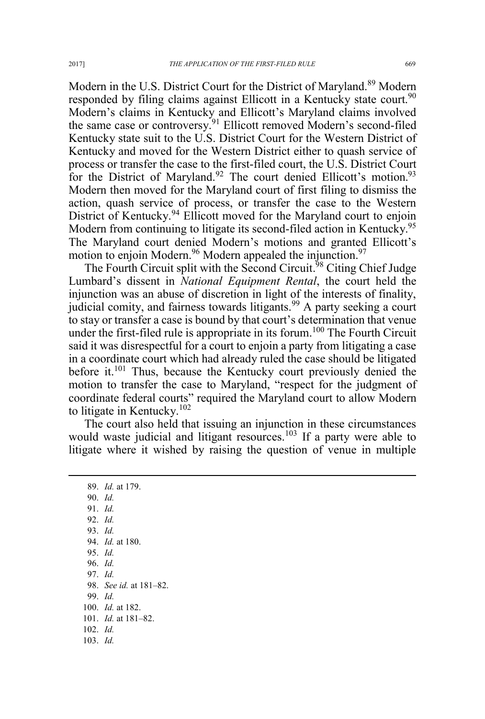Modern in the U.S. District Court for the District of Maryland.<sup>89</sup> Modern responded by filing claims against Ellicott in a Kentucky state court.<sup>90</sup> Modern's claims in Kentucky and Ellicott's Maryland claims involved the same case or controversy.<sup>91</sup> Ellicott removed Modern's second-filed Kentucky state suit to the U.S. District Court for the Western District of Kentucky and moved for the Western District either to quash service of process or transfer the case to the first-filed court, the U.S. District Court for the District of Maryland.<sup>92</sup> The court denied Ellicott's motion.<sup>93</sup> Modern then moved for the Maryland court of first filing to dismiss the action, quash service of process, or transfer the case to the Western District of Kentucky.<sup>94</sup> Ellicott moved for the Maryland court to enjoin Modern from continuing to litigate its second-filed action in Kentucky.<sup>95</sup> The Maryland court denied Modern's motions and granted Ellicott's motion to enjoin Modern.<sup>96</sup> Modern appealed the injunction.<sup>97</sup>

The Fourth Circuit split with the Second Circuit.<sup>98</sup> Citing Chief Judge Lumbard's dissent in *National Equipment Rental*, the court held the injunction was an abuse of discretion in light of the interests of finality, judicial comity, and fairness towards litigants.<sup>99</sup> A party seeking a court to stay or transfer a case is bound by that court's determination that venue under the first-filed rule is appropriate in its forum.<sup>100</sup> The Fourth Circuit said it was disrespectful for a court to enjoin a party from litigating a case in a coordinate court which had already ruled the case should be litigated before it.<sup>101</sup> Thus, because the Kentucky court previously denied the motion to transfer the case to Maryland, "respect for the judgment of coordinate federal courts" required the Maryland court to allow Modern to litigate in Kentucky.<sup>102</sup>

The court also held that issuing an injunction in these circumstances would waste judicial and litigant resources.<sup>103</sup> If a party were able to litigate where it wished by raising the question of venue in multiple

 89. *Id.* at 179. 90. *Id.* 91. *Id.* 92. *Id.* 93. *Id.* 94. *Id.* at 180. 95. *Id.* 96. *Id.* 97. *Id.* 98. *See id.* at 181–82. 99. *Id.* 100. *Id.* at 182. 101. *Id.* at 181–82. 102. *Id.* 103. *Id.*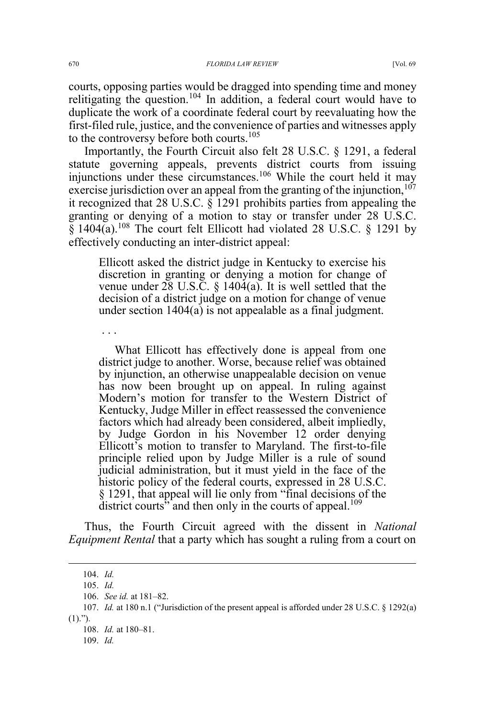courts, opposing parties would be dragged into spending time and money relitigating the question.<sup>104</sup> In addition, a federal court would have to duplicate the work of a coordinate federal court by reevaluating how the first-filed rule, justice, and the convenience of parties and witnesses apply to the controversy before both courts.<sup>105</sup>

Importantly, the Fourth Circuit also felt 28 U.S.C. § 1291, a federal statute governing appeals, prevents district courts from issuing injunctions under these circumstances.<sup>106</sup> While the court held it may exercise jurisdiction over an appeal from the granting of the injunction,  $107$ it recognized that 28 U.S.C. § 1291 prohibits parties from appealing the granting or denying of a motion to stay or transfer under 28 U.S.C.  $\frac{20}{1404(a)}$ .<sup>108</sup> The court felt Ellicott had violated 28 U.S.C. § 1291 by effectively conducting an inter-district appeal:

Ellicott asked the district judge in Kentucky to exercise his discretion in granting or denying a motion for change of venue under 28 U.S.C. § 1404(a). It is well settled that the decision of a district judge on a motion for change of venue under section 1404(a) is not appealable as a final judgment.

What Ellicott has effectively done is appeal from one district judge to another. Worse, because relief was obtained by injunction, an otherwise unappealable decision on venue has now been brought up on appeal. In ruling against Modern's motion for transfer to the Western District of Kentucky, Judge Miller in effect reassessed the convenience factors which had already been considered, albeit impliedly, by Judge Gordon in his November 12 order denying Ellicott's motion to transfer to Maryland. The first-to-file principle relied upon by Judge Miller is a rule of sound judicial administration, but it must yield in the face of the historic policy of the federal courts, expressed in 28 U.S.C. § 1291, that appeal will lie only from "final decisions of the district courts" and then only in the courts of appeal.<sup>109</sup>

Thus, the Fourth Circuit agreed with the dissent in *National Equipment Rental* that a party which has sought a ruling from a court on

. . .

 <sup>104.</sup> *Id.*

<sup>105.</sup> *Id.*

<sup>106.</sup> *See id.* at 181–82.

<sup>107.</sup> *Id.* at 180 n.1 ("Jurisdiction of the present appeal is afforded under 28 U.S.C. § 1292(a)  $(1).$ ").

<sup>108.</sup> *Id.* at 180–81.

<sup>109.</sup> *Id.*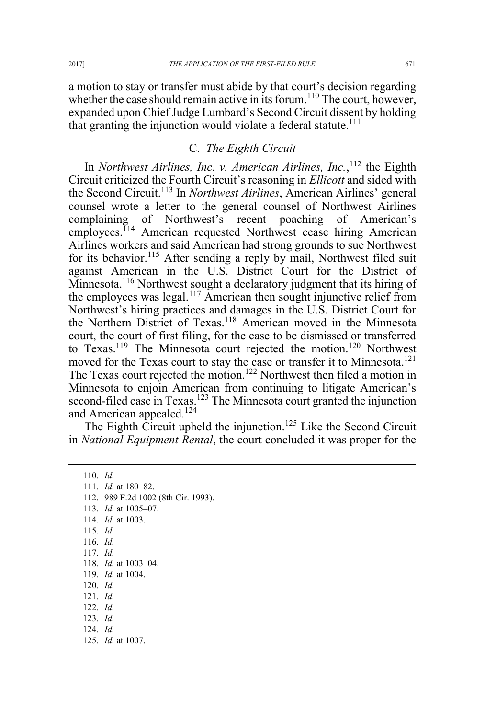a motion to stay or transfer must abide by that court's decision regarding whether the case should remain active in its forum.<sup>110</sup> The court, however, expanded upon Chief Judge Lumbard's Second Circuit dissent by holding that granting the injunction would violate a federal statute.<sup>111</sup>

### C. *The Eighth Circuit*

In *Northwest Airlines, Inc. v. American Airlines, Inc.*,<sup>112</sup> the Eighth Circuit criticized the Fourth Circuit's reasoning in *Ellicott* and sided with the Second Circuit.113 In *Northwest Airlines*, American Airlines' general counsel wrote a letter to the general counsel of Northwest Airlines complaining of Northwest's recent poaching of American's employees.<sup>114</sup> American requested Northwest cease hiring American Airlines workers and said American had strong grounds to sue Northwest for its behavior.<sup>115</sup> After sending a reply by mail, Northwest filed suit against American in the U.S. District Court for the District of Minnesota.<sup>116</sup> Northwest sought a declaratory judgment that its hiring of the employees was legal.<sup>117</sup> American then sought injunctive relief from Northwest's hiring practices and damages in the U.S. District Court for the Northern District of Texas.<sup>118</sup> American moved in the Minnesota court, the court of first filing, for the case to be dismissed or transferred to Texas.<sup>119</sup> The Minnesota court rejected the motion.<sup>120</sup> Northwest moved for the Texas court to stay the case or transfer it to Minnesota.<sup>121</sup> The Texas court rejected the motion.<sup>122</sup> Northwest then filed a motion in Minnesota to enjoin American from continuing to litigate American's second-filed case in Texas.<sup>123</sup> The Minnesota court granted the injunction and American appealed.<sup>124</sup>

The Eighth Circuit upheld the injunction.<sup>125</sup> Like the Second Circuit in *National Equipment Rental*, the court concluded it was proper for the

 110. *Id.* 111. *Id.* at 180–82. 112. 989 F.2d 1002 (8th Cir. 1993). 113. *Id.* at 1005–07. 114. *Id.* at 1003. 115. *Id.* 116. *Id.* 117. *Id.* 118. *Id.* at 1003–04. 119. *Id.* at 1004. 120. *Id.* 121. *Id.* 122. *Id.* 123. *Id.* 124. *Id.* 125. *Id.* at 1007.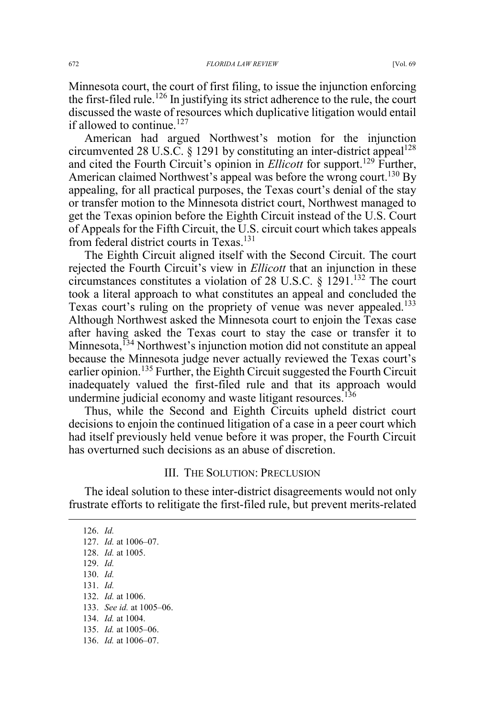Minnesota court, the court of first filing, to issue the injunction enforcing the first-filed rule.<sup>126</sup> In justifying its strict adherence to the rule, the court discussed the waste of resources which duplicative litigation would entail if allowed to continue.<sup>127</sup>

American had argued Northwest's motion for the injunction circumvented 28 U.S.C. § 1291 by constituting an inter-district appeal<sup>128</sup> and cited the Fourth Circuit's opinion in *Ellicott* for support.<sup>129</sup> Further, American claimed Northwest's appeal was before the wrong court.<sup>130</sup> By appealing, for all practical purposes, the Texas court's denial of the stay or transfer motion to the Minnesota district court, Northwest managed to get the Texas opinion before the Eighth Circuit instead of the U.S. Court of Appeals for the Fifth Circuit, the U.S. circuit court which takes appeals from federal district courts in Texas.<sup>131</sup>

The Eighth Circuit aligned itself with the Second Circuit. The court rejected the Fourth Circuit's view in *Ellicott* that an injunction in these circumstances constitutes a violation of 28 U.S.C. § 1291.<sup>132</sup> The court took a literal approach to what constitutes an appeal and concluded the Texas court's ruling on the propriety of venue was never appealed.<sup>133</sup> Although Northwest asked the Minnesota court to enjoin the Texas case after having asked the Texas court to stay the case or transfer it to Minnesota,<sup>134</sup> Northwest's injunction motion did not constitute an appeal because the Minnesota judge never actually reviewed the Texas court's earlier opinion.<sup>135</sup> Further, the Eighth Circuit suggested the Fourth Circuit inadequately valued the first-filed rule and that its approach would undermine judicial economy and waste litigant resources.<sup>136</sup>

Thus, while the Second and Eighth Circuits upheld district court decisions to enjoin the continued litigation of a case in a peer court which had itself previously held venue before it was proper, the Fourth Circuit has overturned such decisions as an abuse of discretion.

#### III. THE SOLUTION: PRECLUSION

The ideal solution to these inter-district disagreements would not only frustrate efforts to relitigate the first-filed rule, but prevent merits-related

 126. *Id.* 127. *Id.* at 1006–07. 128. *Id.* at 1005. 129. *Id.* 130. *Id.* 131. *Id.* 132. *Id.* at 1006. 133. *See id.* at 1005–06. 134. *Id.* at 1004. 135. *Id.* at 1005–06. 136. *Id.* at 1006–07.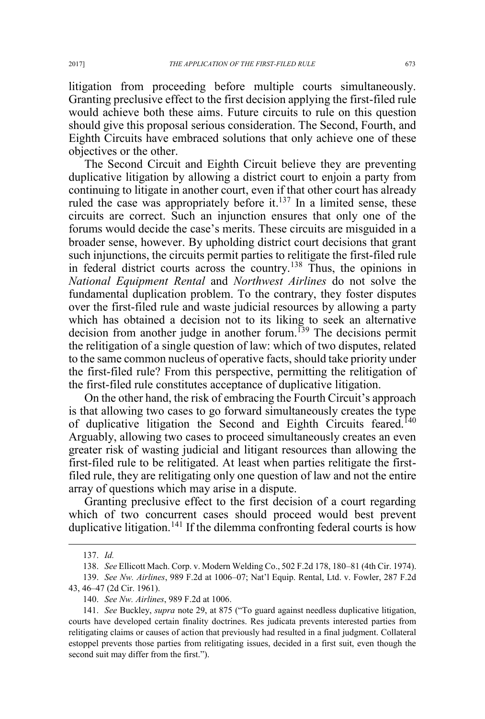litigation from proceeding before multiple courts simultaneously. Granting preclusive effect to the first decision applying the first-filed rule would achieve both these aims. Future circuits to rule on this question should give this proposal serious consideration. The Second, Fourth, and Eighth Circuits have embraced solutions that only achieve one of these objectives or the other.

The Second Circuit and Eighth Circuit believe they are preventing duplicative litigation by allowing a district court to enjoin a party from continuing to litigate in another court, even if that other court has already ruled the case was appropriately before it. $137$  In a limited sense, these circuits are correct. Such an injunction ensures that only one of the forums would decide the case's merits. These circuits are misguided in a broader sense, however. By upholding district court decisions that grant such injunctions, the circuits permit parties to relitigate the first-filed rule in federal district courts across the country.<sup>138</sup> Thus, the opinions in *National Equipment Rental* and *Northwest Airlines* do not solve the fundamental duplication problem. To the contrary, they foster disputes over the first-filed rule and waste judicial resources by allowing a party which has obtained a decision not to its liking to seek an alternative decision from another judge in another forum.<sup>139</sup> The decisions permit the relitigation of a single question of law: which of two disputes, related to the same common nucleus of operative facts, should take priority under the first-filed rule? From this perspective, permitting the relitigation of the first-filed rule constitutes acceptance of duplicative litigation.

On the other hand, the risk of embracing the Fourth Circuit's approach is that allowing two cases to go forward simultaneously creates the type of duplicative litigation the Second and Eighth Circuits feared.<sup>140</sup> Arguably, allowing two cases to proceed simultaneously creates an even greater risk of wasting judicial and litigant resources than allowing the first-filed rule to be relitigated. At least when parties relitigate the firstfiled rule, they are relitigating only one question of law and not the entire array of questions which may arise in a dispute.

Granting preclusive effect to the first decision of a court regarding which of two concurrent cases should proceed would best prevent duplicative litigation.<sup>141</sup> If the dilemma confronting federal courts is how

 <sup>137.</sup> *Id.*

<sup>138.</sup> *See* Ellicott Mach. Corp. v. Modern Welding Co., 502 F.2d 178, 180–81 (4th Cir. 1974).

<sup>139.</sup> *See Nw. Airlines*, 989 F.2d at 1006–07; Nat'l Equip. Rental, Ltd. v. Fowler, 287 F.2d 43, 46–47 (2d Cir. 1961).

<sup>140.</sup> *See Nw. Airlines*, 989 F.2d at 1006.

<sup>141.</sup> *See* Buckley, *supra* note 29, at 875 ("To guard against needless duplicative litigation, courts have developed certain finality doctrines. Res judicata prevents interested parties from relitigating claims or causes of action that previously had resulted in a final judgment. Collateral estoppel prevents those parties from relitigating issues, decided in a first suit, even though the second suit may differ from the first.").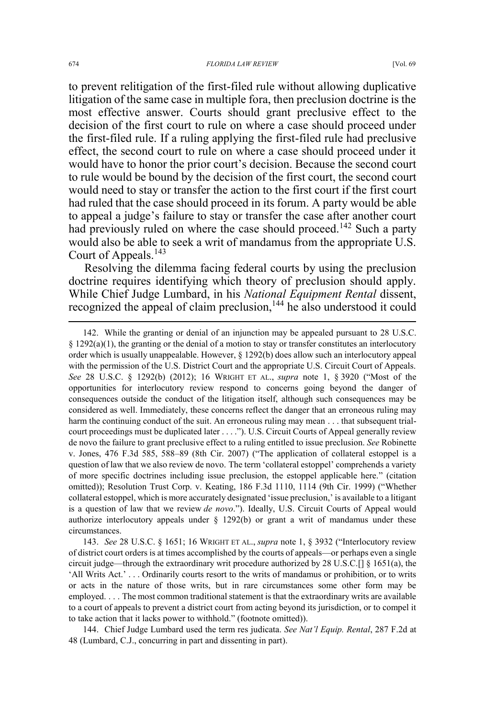to prevent relitigation of the first-filed rule without allowing duplicative litigation of the same case in multiple fora, then preclusion doctrine is the most effective answer. Courts should grant preclusive effect to the decision of the first court to rule on where a case should proceed under the first-filed rule. If a ruling applying the first-filed rule had preclusive effect, the second court to rule on where a case should proceed under it would have to honor the prior court's decision. Because the second court to rule would be bound by the decision of the first court, the second court would need to stay or transfer the action to the first court if the first court had ruled that the case should proceed in its forum. A party would be able to appeal a judge's failure to stay or transfer the case after another court had previously ruled on where the case should proceed.<sup>142</sup> Such a party would also be able to seek a writ of mandamus from the appropriate U.S. Court of Appeals.<sup>143</sup>

Resolving the dilemma facing federal courts by using the preclusion doctrine requires identifying which theory of preclusion should apply. While Chief Judge Lumbard, in his *National Equipment Rental* dissent, recognized the appeal of claim preclusion,<sup>144</sup> he also understood it could

143. *See* 28 U.S.C. § 1651; 16 WRIGHT ET AL., *supra* note 1, § 3932 ("Interlocutory review of district court orders is at times accomplished by the courts of appeals—or perhaps even a single circuit judge—through the extraordinary writ procedure authorized by 28 U.S.C.[]  $\S$  1651(a), the 'All Writs Act.' . . . Ordinarily courts resort to the writs of mandamus or prohibition, or to writs or acts in the nature of those writs, but in rare circumstances some other form may be employed. . . . The most common traditional statement is that the extraordinary writs are available to a court of appeals to prevent a district court from acting beyond its jurisdiction, or to compel it to take action that it lacks power to withhold." (footnote omitted)).

144. Chief Judge Lumbard used the term res judicata. *See Nat'l Equip. Rental*, 287 F.2d at 48 (Lumbard, C.J., concurring in part and dissenting in part).

 <sup>142.</sup> While the granting or denial of an injunction may be appealed pursuant to 28 U.S.C.  $\S 1292(a)(1)$ , the granting or the denial of a motion to stay or transfer constitutes an interlocutory order which is usually unappealable. However,  $\S$  1292(b) does allow such an interlocutory appeal with the permission of the U.S. District Court and the appropriate U.S. Circuit Court of Appeals. *See* 28 U.S.C. § 1292(b) (2012); 16 WRIGHT ET AL., *supra* note 1, § 3920 ("Most of the opportunities for interlocutory review respond to concerns going beyond the danger of consequences outside the conduct of the litigation itself, although such consequences may be considered as well. Immediately, these concerns reflect the danger that an erroneous ruling may harm the continuing conduct of the suit. An erroneous ruling may mean . . . that subsequent trialcourt proceedings must be duplicated later . . . ."). U.S. Circuit Courts of Appeal generally review de novo the failure to grant preclusive effect to a ruling entitled to issue preclusion. *See* Robinette v. Jones, 476 F.3d 585, 588–89 (8th Cir. 2007) ("The application of collateral estoppel is a question of law that we also review de novo. The term 'collateral estoppel' comprehends a variety of more specific doctrines including issue preclusion, the estoppel applicable here." (citation omitted)); Resolution Trust Corp. v. Keating, 186 F.3d 1110, 1114 (9th Cir. 1999) ("Whether collateral estoppel, which is more accurately designated 'issue preclusion,' is available to a litigant is a question of law that we review *de novo*."). Ideally, U.S. Circuit Courts of Appeal would authorize interlocutory appeals under § 1292(b) or grant a writ of mandamus under these circumstances.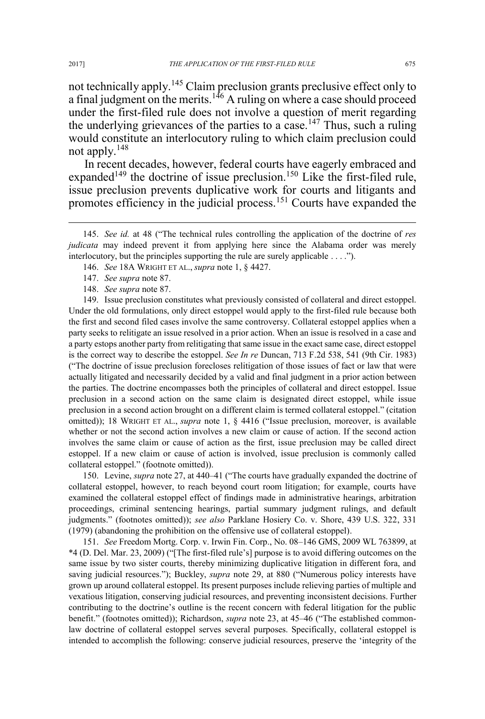not technically apply.<sup>145</sup> Claim preclusion grants preclusive effect only to a final judgment on the merits.<sup>146</sup> A ruling on where a case should proceed under the first-filed rule does not involve a question of merit regarding the underlying grievances of the parties to a case.<sup>147</sup> Thus, such a ruling would constitute an interlocutory ruling to which claim preclusion could not apply.<sup>148</sup>

In recent decades, however, federal courts have eagerly embraced and expanded<sup>149</sup> the doctrine of issue preclusion.<sup>150</sup> Like the first-filed rule, issue preclusion prevents duplicative work for courts and litigants and promotes efficiency in the judicial process.<sup>151</sup> Courts have expanded the

146. *See* 18A WRIGHT ET AL., *supra* note 1, § 4427.

148. *See supra* note 87.

149. Issue preclusion constitutes what previously consisted of collateral and direct estoppel. Under the old formulations, only direct estoppel would apply to the first-filed rule because both the first and second filed cases involve the same controversy. Collateral estoppel applies when a party seeks to relitigate an issue resolved in a prior action. When an issue is resolved in a case and a party estops another party from relitigating that same issue in the exact same case, direct estoppel is the correct way to describe the estoppel. *See In re* Duncan, 713 F.2d 538, 541 (9th Cir. 1983) ("The doctrine of issue preclusion forecloses relitigation of those issues of fact or law that were actually litigated and necessarily decided by a valid and final judgment in a prior action between the parties. The doctrine encompasses both the principles of collateral and direct estoppel. Issue preclusion in a second action on the same claim is designated direct estoppel, while issue preclusion in a second action brought on a different claim is termed collateral estoppel." (citation omitted)); 18 WRIGHT ET AL., *supra* note 1, § 4416 ("Issue preclusion, moreover, is available whether or not the second action involves a new claim or cause of action. If the second action involves the same claim or cause of action as the first, issue preclusion may be called direct estoppel. If a new claim or cause of action is involved, issue preclusion is commonly called collateral estoppel." (footnote omitted)).

150. Levine, *supra* note 27, at 440–41 ("The courts have gradually expanded the doctrine of collateral estoppel, however, to reach beyond court room litigation; for example, courts have examined the collateral estoppel effect of findings made in administrative hearings, arbitration proceedings, criminal sentencing hearings, partial summary judgment rulings, and default judgments." (footnotes omitted)); *see also* Parklane Hosiery Co. v. Shore, 439 U.S. 322, 331 (1979) (abandoning the prohibition on the offensive use of collateral estoppel).

151. *See* Freedom Mortg. Corp. v. Irwin Fin. Corp., No. 08–146 GMS, 2009 WL 763899, at \*4 (D. Del. Mar. 23, 2009) ("[The first-filed rule's] purpose is to avoid differing outcomes on the same issue by two sister courts, thereby minimizing duplicative litigation in different fora, and saving judicial resources."); Buckley, *supra* note 29, at 880 ("Numerous policy interests have grown up around collateral estoppel. Its present purposes include relieving parties of multiple and vexatious litigation, conserving judicial resources, and preventing inconsistent decisions. Further contributing to the doctrine's outline is the recent concern with federal litigation for the public benefit." (footnotes omitted)); Richardson, *supra* note 23, at 45–46 ("The established commonlaw doctrine of collateral estoppel serves several purposes. Specifically, collateral estoppel is intended to accomplish the following: conserve judicial resources, preserve the 'integrity of the

 <sup>145.</sup> *See id.* at 48 ("The technical rules controlling the application of the doctrine of *res judicata* may indeed prevent it from applying here since the Alabama order was merely interlocutory, but the principles supporting the rule are surely applicable . . . .").

<sup>147.</sup> *See supra* note 87.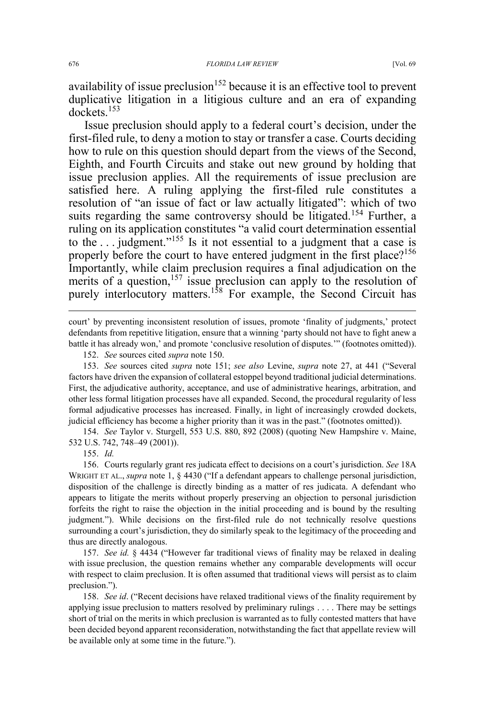availability of issue preclusion<sup>152</sup> because it is an effective tool to prevent duplicative litigation in a litigious culture and an era of expanding dockets.<sup>153</sup>

Issue preclusion should apply to a federal court's decision, under the first-filed rule, to deny a motion to stay or transfer a case. Courts deciding how to rule on this question should depart from the views of the Second, Eighth, and Fourth Circuits and stake out new ground by holding that issue preclusion applies. All the requirements of issue preclusion are satisfied here. A ruling applying the first-filed rule constitutes a resolution of "an issue of fact or law actually litigated": which of two suits regarding the same controversy should be litigated.<sup>154</sup> Further, a ruling on its application constitutes "a valid court determination essential to the . . . judgment."<sup>155</sup> Is it not essential to a judgment that a case is properly before the court to have entered judgment in the first place?<sup>156</sup> Importantly, while claim preclusion requires a final adjudication on the merits of a question,  $157$  issue preclusion can apply to the resolution of purely interlocutory matters.<sup>158</sup> For example, the Second Circuit has

court' by preventing inconsistent resolution of issues, promote 'finality of judgments,' protect defendants from repetitive litigation, ensure that a winning 'party should not have to fight anew a battle it has already won,' and promote 'conclusive resolution of disputes.'" (footnotes omitted)).

152. *See* sources cited *supra* note 150.

153. *See* sources cited *supra* note 151; *see also* Levine, *supra* note 27, at 441 ("Several factors have driven the expansion of collateral estoppel beyond traditional judicial determinations. First, the adjudicative authority, acceptance, and use of administrative hearings, arbitration, and other less formal litigation processes have all expanded. Second, the procedural regularity of less formal adjudicative processes has increased. Finally, in light of increasingly crowded dockets, judicial efficiency has become a higher priority than it was in the past." (footnotes omitted)).

154. *See* Taylor v. Sturgell, 553 U.S. 880, 892 (2008) (quoting New Hampshire v. Maine, 532 U.S. 742, 748–49 (2001)).

155. *Id.*

156. Courts regularly grant res judicata effect to decisions on a court's jurisdiction. *See* 18A WRIGHT ET AL., *supra* note 1, § 4430 ("If a defendant appears to challenge personal jurisdiction, disposition of the challenge is directly binding as a matter of res judicata. A defendant who appears to litigate the merits without properly preserving an objection to personal jurisdiction forfeits the right to raise the objection in the initial proceeding and is bound by the resulting judgment."). While decisions on the first-filed rule do not technically resolve questions surrounding a court's jurisdiction, they do similarly speak to the legitimacy of the proceeding and thus are directly analogous.

157. *See id.* § 4434 ("However far traditional views of finality may be relaxed in dealing with issue preclusion, the question remains whether any comparable developments will occur with respect to claim preclusion. It is often assumed that traditional views will persist as to claim preclusion.").

158. *See id*. ("Recent decisions have relaxed traditional views of the finality requirement by applying issue preclusion to matters resolved by preliminary rulings . . . . There may be settings short of trial on the merits in which preclusion is warranted as to fully contested matters that have been decided beyond apparent reconsideration, notwithstanding the fact that appellate review will be available only at some time in the future.").

 $\overline{a}$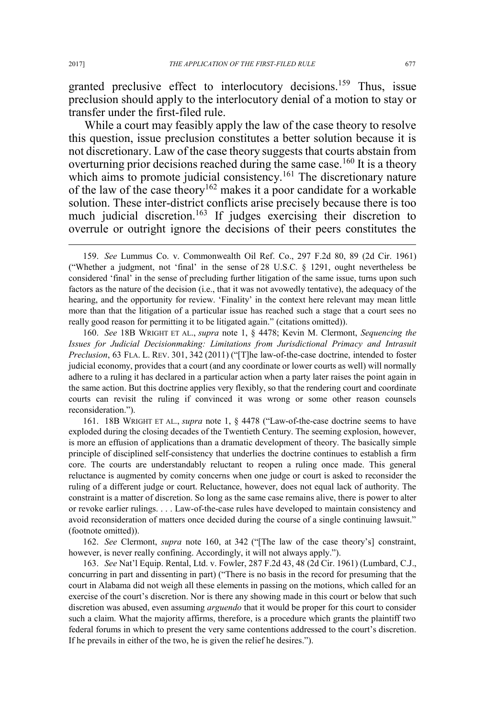granted preclusive effect to interlocutory decisions.<sup>159</sup> Thus, issue preclusion should apply to the interlocutory denial of a motion to stay or transfer under the first-filed rule.

While a court may feasibly apply the law of the case theory to resolve this question, issue preclusion constitutes a better solution because it is not discretionary. Law of the case theory suggests that courts abstain from overturning prior decisions reached during the same case.<sup>160</sup> It is a theory which aims to promote judicial consistency.<sup>161</sup> The discretionary nature of the law of the case theory<sup>162</sup> makes it a poor candidate for a workable solution. These inter-district conflicts arise precisely because there is too much judicial discretion.<sup>163</sup> If judges exercising their discretion to overrule or outright ignore the decisions of their peers constitutes the

160. *See* 18B WRIGHT ET AL., *supra* note 1, § 4478; Kevin M. Clermont, *Sequencing the Issues for Judicial Decisionmaking: Limitations from Jurisdictional Primacy and Intrasuit Preclusion*, 63 FLA. L. REV. 301, 342 (2011) ("[T]he law-of-the-case doctrine, intended to foster judicial economy, provides that a court (and any coordinate or lower courts as well) will normally adhere to a ruling it has declared in a particular action when a party later raises the point again in the same action. But this doctrine applies very flexibly, so that the rendering court and coordinate courts can revisit the ruling if convinced it was wrong or some other reason counsels reconsideration.").

161. 18B WRIGHT ET AL., *supra* note 1, § 4478 ("Law-of-the-case doctrine seems to have exploded during the closing decades of the Twentieth Century. The seeming explosion, however, is more an effusion of applications than a dramatic development of theory. The basically simple principle of disciplined self-consistency that underlies the doctrine continues to establish a firm core. The courts are understandably reluctant to reopen a ruling once made. This general reluctance is augmented by comity concerns when one judge or court is asked to reconsider the ruling of a different judge or court. Reluctance, however, does not equal lack of authority. The constraint is a matter of discretion. So long as the same case remains alive, there is power to alter or revoke earlier rulings. . . . Law-of-the-case rules have developed to maintain consistency and avoid reconsideration of matters once decided during the course of a single continuing lawsuit." (footnote omitted)).

162. *See* Clermont, *supra* note 160, at 342 ("[The law of the case theory's] constraint, however, is never really confining. Accordingly, it will not always apply.").

163. *See* Nat'l Equip. Rental, Ltd. v. Fowler, 287 F.2d 43, 48 (2d Cir. 1961) (Lumbard, C.J., concurring in part and dissenting in part) ("There is no basis in the record for presuming that the court in Alabama did not weigh all these elements in passing on the motions, which called for an exercise of the court's discretion. Nor is there any showing made in this court or below that such discretion was abused, even assuming *arguendo* that it would be proper for this court to consider such a claim. What the majority affirms, therefore, is a procedure which grants the plaintiff two federal forums in which to present the very same contentions addressed to the court's discretion. If he prevails in either of the two, he is given the relief he desires.").

 <sup>159.</sup> *See* Lummus Co. v. Commonwealth Oil Ref. Co., 297 F.2d 80, 89 (2d Cir. 1961) ("Whether a judgment, not 'final' in the sense of 28 U.S.C. § 1291, ought nevertheless be considered 'final' in the sense of precluding further litigation of the same issue, turns upon such factors as the nature of the decision (i.e., that it was not avowedly tentative), the adequacy of the hearing, and the opportunity for review. 'Finality' in the context here relevant may mean little more than that the litigation of a particular issue has reached such a stage that a court sees no really good reason for permitting it to be litigated again." (citations omitted)).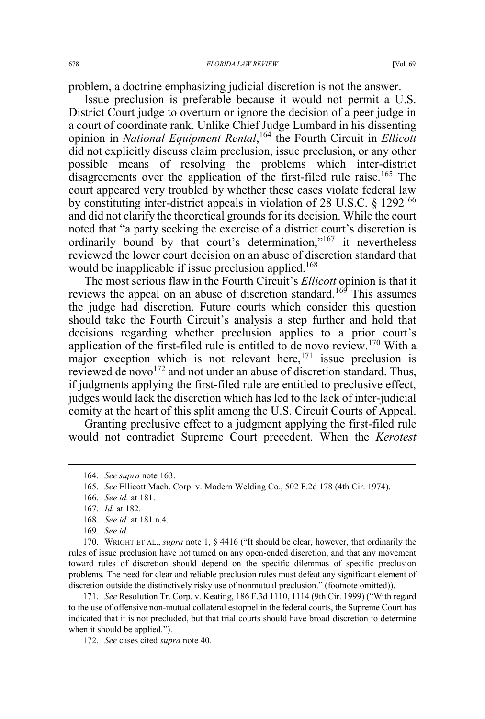problem, a doctrine emphasizing judicial discretion is not the answer.

Issue preclusion is preferable because it would not permit a U.S. District Court judge to overturn or ignore the decision of a peer judge in a court of coordinate rank. Unlike Chief Judge Lumbard in his dissenting opinion in *National Equipment Rental*, <sup>164</sup> the Fourth Circuit in *Ellicott*  did not explicitly discuss claim preclusion, issue preclusion, or any other possible means of resolving the problems which inter-district disagreements over the application of the first-filed rule raise.<sup>165</sup> The court appeared very troubled by whether these cases violate federal law by constituting inter-district appeals in violation of 28 U.S.C. § 1292166 and did not clarify the theoretical grounds for its decision. While the court noted that "a party seeking the exercise of a district court's discretion is ordinarily bound by that court's determination,"167 it nevertheless reviewed the lower court decision on an abuse of discretion standard that would be inapplicable if issue preclusion applied.<sup>168</sup>

The most serious flaw in the Fourth Circuit's *Ellicott* opinion is that it reviews the appeal on an abuse of discretion standard.<sup>169</sup> This assumes the judge had discretion. Future courts which consider this question should take the Fourth Circuit's analysis a step further and hold that decisions regarding whether preclusion applies to a prior court's application of the first-filed rule is entitled to de novo review.<sup>170</sup> With a major exception which is not relevant here,  $171$  issue preclusion is reviewed de novo $172$  and not under an abuse of discretion standard. Thus, if judgments applying the first-filed rule are entitled to preclusive effect, judges would lack the discretion which has led to the lack of inter-judicial comity at the heart of this split among the U.S. Circuit Courts of Appeal.

Granting preclusive effect to a judgment applying the first-filed rule would not contradict Supreme Court precedent. When the *Kerotest*

171. *See* Resolution Tr. Corp. v. Keating, 186 F.3d 1110, 1114 (9th Cir. 1999) ("With regard to the use of offensive non-mutual collateral estoppel in the federal courts, the Supreme Court has indicated that it is not precluded, but that trial courts should have broad discretion to determine when it should be applied.").

172. *See* cases cited *supra* note 40.

 <sup>164.</sup> *See supra* note 163.

<sup>165.</sup> *See* Ellicott Mach. Corp. v. Modern Welding Co., 502 F.2d 178 (4th Cir. 1974).

<sup>166.</sup> *See id.* at 181.

<sup>167.</sup> *Id.* at 182.

<sup>168.</sup> *See id.* at 181 n.4.

<sup>169.</sup> *See id.*

<sup>170.</sup> WRIGHT ET AL., *supra* note 1, § 4416 ("It should be clear, however, that ordinarily the rules of issue preclusion have not turned on any open-ended discretion, and that any movement toward rules of discretion should depend on the specific dilemmas of specific preclusion problems. The need for clear and reliable preclusion rules must defeat any significant element of discretion outside the distinctively risky use of nonmutual preclusion." (footnote omitted)).